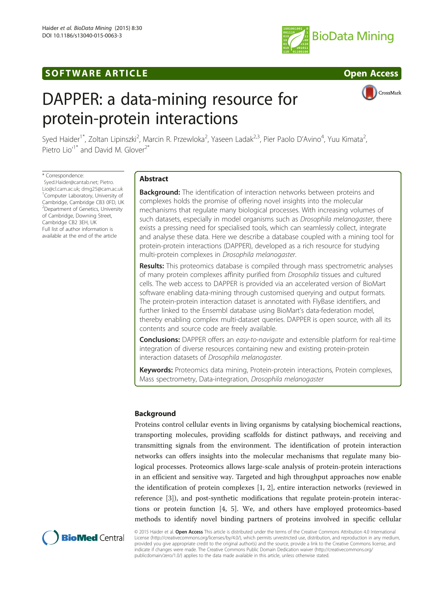# **SOFTWARE ARTICLE SOFTWARE ARTICLE**



# DAPPER: a data-mining resource for protein-protein interactions



Syed Haider<sup>1\*</sup>, Zoltan Lipinszki<sup>2</sup>, Marcin R. Przewloka<sup>2</sup>, Yaseen Ladak<sup>2,3</sup>, Pier Paolo D'Avino<sup>4</sup>, Yuu Kimata<sup>2</sup> , Pietro Lio'<sup>1\*</sup> and David M. Glover<sup>2\*</sup>

\* Correspondence:

[Syed.Haider@cantab.net;](mailto:Syed.Haider@cantab.net) [Pietro.](mailto:Pietro.Lio@cl.cam.ac.uk) [Lio@cl.cam.ac.uk;](mailto:Pietro.Lio@cl.cam.ac.uk) [dmg25@cam.ac.uk](mailto:dmg25@cam.ac.uk) <sup>1</sup> <sup>1</sup>Computer Laboratory, University of Cambridge, Cambridge CB3 0FD, UK <sup>2</sup>Department of Genetics, University of Cambridge, Downing Street, Cambridge CB2 3EH, UK Full list of author information is available at the end of the article

# Abstract

**Background:** The identification of interaction networks between proteins and complexes holds the promise of offering novel insights into the molecular mechanisms that regulate many biological processes. With increasing volumes of such datasets, especially in model organisms such as Drosophila melanogaster, there exists a pressing need for specialised tools, which can seamlessly collect, integrate and analyse these data. Here we describe a database coupled with a mining tool for protein-protein interactions (DAPPER), developed as a rich resource for studying multi-protein complexes in Drosophila melanogaster.

**Results:** This proteomics database is compiled through mass spectrometric analyses of many protein complexes affinity purified from Drosophila tissues and cultured cells. The web access to DAPPER is provided via an accelerated version of BioMart software enabling data-mining through customised querying and output formats. The protein-protein interaction dataset is annotated with FlyBase identifiers, and further linked to the Ensembl database using BioMart's data-federation model, thereby enabling complex multi-dataset queries. DAPPER is open source, with all its contents and source code are freely available.

**Conclusions:** DAPPER offers an easy-to-navigate and extensible platform for real-time integration of diverse resources containing new and existing protein-protein interaction datasets of Drosophila melanogaster.

Keywords: Proteomics data mining, Protein-protein interactions, Protein complexes, Mass spectrometry, Data-integration, Drosophila melanogaster

# Background

Proteins control cellular events in living organisms by catalysing biochemical reactions, transporting molecules, providing scaffolds for distinct pathways, and receiving and transmitting signals from the environment. The identification of protein interaction networks can offers insights into the molecular mechanisms that regulate many biological processes. Proteomics allows large-scale analysis of protein-protein interactions in an efficient and sensitive way. Targeted and high throughput approaches now enable the identification of protein complexes [\[1, 2\]](#page-6-0), entire interaction networks (reviewed in reference [[3\]](#page-6-0)), and post-synthetic modifications that regulate protein-protein interactions or protein function [\[4](#page-6-0), [5\]](#page-6-0). We, and others have employed proteomics-based methods to identify novel binding partners of proteins involved in specific cellular



© 2015 Haider et al. Open Access This article is distributed under the terms of the Creative Commons Attribution 4.0 International License ([http://creativecommons.org/licenses/by/4.0/\)](http://creativecommons.org/licenses/by/4.0/), which permits unrestricted use, distribution, and reproduction in any medium, provided you give appropriate credit to the original author(s) and the source, provide a link to the Creative Commons license, and indicate if changes were made. The Creative Commons Public Domain Dedication waiver ([http://creativecommons.org/](http://creativecommons.org/publicdomain/zero/1.0/) [publicdomain/zero/1.0/\)](http://creativecommons.org/publicdomain/zero/1.0/) applies to the data made available in this article, unless otherwise stated.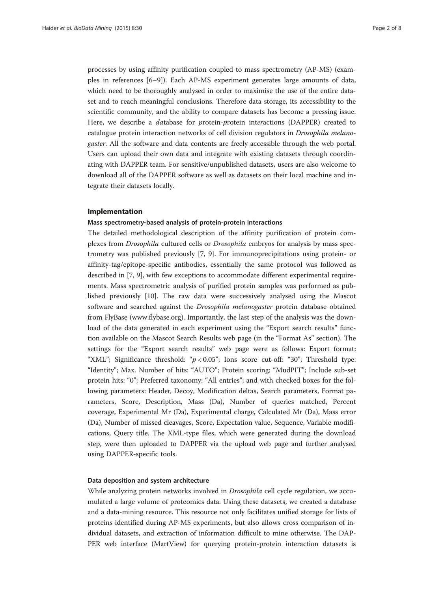processes by using affinity purification coupled to mass spectrometry (AP-MS) (examples in references [[6](#page-6-0)–[9\]](#page-6-0)). Each AP-MS experiment generates large amounts of data, which need to be thoroughly analysed in order to maximise the use of the entire dataset and to reach meaningful conclusions. Therefore data storage, its accessibility to the scientific community, and the ability to compare datasets has become a pressing issue. Here, we describe a *database for protein-protein interactions* (DAPPER) created to catalogue protein interaction networks of cell division regulators in Drosophila melanogaster. All the software and data contents are freely accessible through the web portal. Users can upload their own data and integrate with existing datasets through coordinating with DAPPER team. For sensitive/unpublished datasets, users are also welcome to download all of the DAPPER software as well as datasets on their local machine and integrate their datasets locally.

#### Implementation

# Mass spectrometry-based analysis of protein-protein interactions

The detailed methodological description of the affinity purification of protein complexes from Drosophila cultured cells or Drosophila embryos for analysis by mass spectrometry was published previously [[7](#page-6-0), [9](#page-6-0)]. For immunoprecipitations using protein- or affinity-tag/epitope-specific antibodies, essentially the same protocol was followed as described in [\[7](#page-6-0), [9](#page-6-0)], with few exceptions to accommodate different experimental requirements. Mass spectrometric analysis of purified protein samples was performed as published previously [\[10](#page-6-0)]. The raw data were successively analysed using the Mascot software and searched against the *Drosophila melanogaster* protein database obtained from FlyBase [\(www.flybase.org](http://www.flybase.org)). Importantly, the last step of the analysis was the download of the data generated in each experiment using the "Export search results" function available on the Mascot Search Results web page (in the "Format As" section). The settings for the "Export search results" web page were as follows: Export format: "XML"; Significance threshold: " $p < 0.05$ "; Ions score cut-off: "30"; Threshold type: "Identity"; Max. Number of hits: "AUTO"; Protein scoring: "MudPIT"; Include sub-set protein hits: "0"; Preferred taxonomy: "All entries"; and with checked boxes for the following parameters: Header, Decoy, Modification deltas, Search parameters, Format parameters, Score, Description, Mass (Da), Number of queries matched, Percent coverage, Experimental Mr (Da), Experimental charge, Calculated Mr (Da), Mass error (Da), Number of missed cleavages, Score, Expectation value, Sequence, Variable modifications, Query title. The XML-type files, which were generated during the download step, were then uploaded to DAPPER via the upload web page and further analysed using DAPPER-specific tools.

#### Data deposition and system architecture

While analyzing protein networks involved in *Drosophila* cell cycle regulation, we accumulated a large volume of proteomics data. Using these datasets, we created a database and a data-mining resource. This resource not only facilitates unified storage for lists of proteins identified during AP-MS experiments, but also allows cross comparison of individual datasets, and extraction of information difficult to mine otherwise. The DAP-PER web interface (MartView) for querying protein-protein interaction datasets is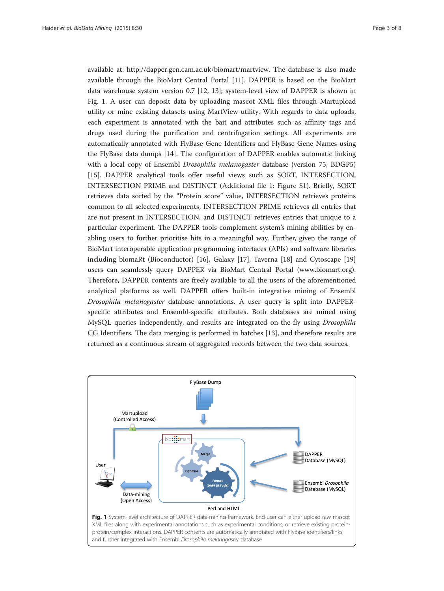available at: [http://dapper.gen.cam.ac.uk/biomart/martview.](http://dapper.gen.cam.ac.uk/biomart/martview) The database is also made available through the BioMart Central Portal [\[11](#page-6-0)]. DAPPER is based on the BioMart data warehouse system version 0.7 [\[12](#page-6-0), [13\]](#page-6-0); system-level view of DAPPER is shown in Fig. 1. A user can deposit data by uploading mascot XML files through Martupload utility or mine existing datasets using MartView utility. With regards to data uploads, each experiment is annotated with the bait and attributes such as affinity tags and drugs used during the purification and centrifugation settings. All experiments are automatically annotated with FlyBase Gene Identifiers and FlyBase Gene Names using the FlyBase data dumps [\[14](#page-6-0)]. The configuration of DAPPER enables automatic linking with a local copy of Ensembl *Drosophila melanogaster* database (version 75, BDGP5) [[15\]](#page-6-0). DAPPER analytical tools offer useful views such as SORT, INTERSECTION, INTERSECTION PRIME and DISTINCT (Additional file [1](#page-5-0): Figure S1). Briefly, SORT retrieves data sorted by the "Protein score" value, INTERSECTION retrieves proteins common to all selected experiments, INTERSECTION PRIME retrieves all entries that are not present in INTERSECTION, and DISTINCT retrieves entries that unique to a particular experiment. The DAPPER tools complement system's mining abilities by enabling users to further prioritise hits in a meaningful way. Further, given the range of BioMart interoperable application programming interfaces (APIs) and software libraries including biomaRt (Bioconductor) [\[16](#page-6-0)], Galaxy [[17](#page-6-0)], Taverna [[18\]](#page-6-0) and Cytoscape [[19](#page-6-0)] users can seamlessly query DAPPER via BioMart Central Portal ([www.biomart.org](http://www.biomart.org)). Therefore, DAPPER contents are freely available to all the users of the aforementioned analytical platforms as well. DAPPER offers built-in integrative mining of Ensembl Drosophila melanogaster database annotations. A user query is split into DAPPERspecific attributes and Ensembl-specific attributes. Both databases are mined using MySQL queries independently, and results are integrated on-the-fly using Drosophila CG Identifiers. The data merging is performed in batches [\[13](#page-6-0)], and therefore results are returned as a continuous stream of aggregated records between the two data sources.

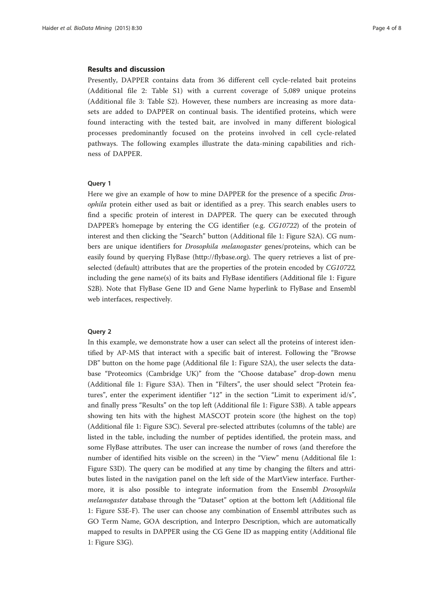#### Results and discussion

Presently, DAPPER contains data from 36 different cell cycle-related bait proteins (Additional file [2:](#page-5-0) Table S1) with a current coverage of 5,089 unique proteins (Additional file [3](#page-5-0): Table S2). However, these numbers are increasing as more datasets are added to DAPPER on continual basis. The identified proteins, which were found interacting with the tested bait, are involved in many different biological processes predominantly focused on the proteins involved in cell cycle-related pathways. The following examples illustrate the data-mining capabilities and richness of DAPPER.

# Query 1

Here we give an example of how to mine DAPPER for the presence of a specific Drosophila protein either used as bait or identified as a prey. This search enables users to find a specific protein of interest in DAPPER. The query can be executed through DAPPER's homepage by entering the CG identifier (e.g. CG10722) of the protein of interest and then clicking the "Search" button (Additional file [1:](#page-5-0) Figure S2A). CG numbers are unique identifiers for Drosophila melanogaster genes/proteins, which can be easily found by querying FlyBase ([http://flybase.org\)](http://flybase.org). The query retrieves a list of preselected (default) attributes that are the properties of the protein encoded by CG10722, including the gene name(s) of its baits and FlyBase identifiers (Additional file [1](#page-5-0): Figure S2B). Note that FlyBase Gene ID and Gene Name hyperlink to FlyBase and Ensembl web interfaces, respectively.

# Query 2

In this example, we demonstrate how a user can select all the proteins of interest identified by AP-MS that interact with a specific bait of interest. Following the "Browse DB" button on the home page (Additional file [1](#page-5-0): Figure S2A), the user selects the database "Proteomics (Cambridge UK)" from the "Choose database" drop-down menu (Additional file [1](#page-5-0): Figure S3A). Then in "Filters", the user should select "Protein features", enter the experiment identifier "12" in the section "Limit to experiment id/s", and finally press "Results" on the top left (Additional file [1:](#page-5-0) Figure S3B). A table appears showing ten hits with the highest MASCOT protein score (the highest on the top) (Additional file [1](#page-5-0): Figure S3C). Several pre-selected attributes (columns of the table) are listed in the table, including the number of peptides identified, the protein mass, and some FlyBase attributes. The user can increase the number of rows (and therefore the number of identified hits visible on the screen) in the "View" menu (Additional file [1](#page-5-0): Figure S3D). The query can be modified at any time by changing the filters and attributes listed in the navigation panel on the left side of the MartView interface. Furthermore, it is also possible to integrate information from the Ensembl Drosophila melanogaster database through the "Dataset" option at the bottom left (Additional file [1:](#page-5-0) Figure S3E-F). The user can choose any combination of Ensembl attributes such as GO Term Name, GOA description, and Interpro Description, which are automatically mapped to results in DAPPER using the CG Gene ID as mapping entity (Additional file [1:](#page-5-0) Figure S3G).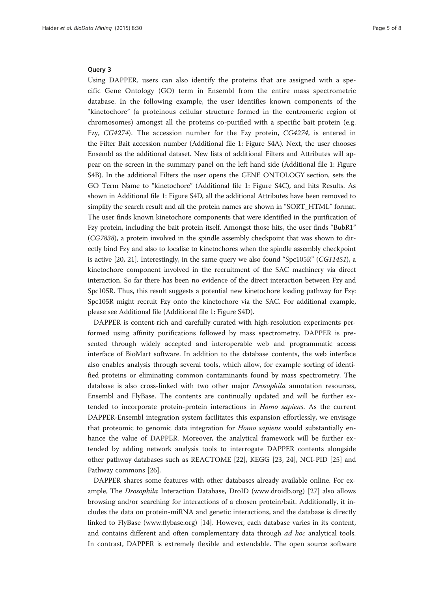#### Query 3

Using DAPPER, users can also identify the proteins that are assigned with a specific Gene Ontology (GO) term in Ensembl from the entire mass spectrometric database. In the following example, the user identifies known components of the "kinetochore" (a proteinous cellular structure formed in the centromeric region of chromosomes) amongst all the proteins co-purified with a specific bait protein (e.g. Fzy, CG4274). The accession number for the Fzy protein, CG4274, is entered in the Filter Bait accession number (Additional file [1](#page-5-0): Figure S4A). Next, the user chooses Ensembl as the additional dataset. New lists of additional Filters and Attributes will appear on the screen in the summary panel on the left hand side (Additional file [1:](#page-5-0) Figure S4B). In the additional Filters the user opens the GENE ONTOLOGY section, sets the GO Term Name to "kinetochore" (Additional file [1](#page-5-0): Figure S4C), and hits Results. As shown in Additional file [1:](#page-5-0) Figure S4D, all the additional Attributes have been removed to simplify the search result and all the protein names are shown in "SORT\_HTML" format. The user finds known kinetochore components that were identified in the purification of Fzy protein, including the bait protein itself. Amongst those hits, the user finds "BubR1" (CG7838), a protein involved in the spindle assembly checkpoint that was shown to directly bind Fzy and also to localise to kinetochores when the spindle assembly checkpoint is active [\[20, 21\]](#page-6-0). Interestingly, in the same query we also found "Spc105R" (CG11451), a kinetochore component involved in the recruitment of the SAC machinery via direct interaction. So far there has been no evidence of the direct interaction between Fzy and Spc105R. Thus, this result suggests a potential new kinetochore loading pathway for Fzy: Spc105R might recruit Fzy onto the kinetochore via the SAC. For additional example, please see Additional file (Additional file [1:](#page-5-0) Figure S4D).

DAPPER is content-rich and carefully curated with high-resolution experiments performed using affinity purifications followed by mass spectrometry. DAPPER is presented through widely accepted and interoperable web and programmatic access interface of BioMart software. In addition to the database contents, the web interface also enables analysis through several tools, which allow, for example sorting of identified proteins or eliminating common contaminants found by mass spectrometry. The database is also cross-linked with two other major Drosophila annotation resources, Ensembl and FlyBase. The contents are continually updated and will be further extended to incorporate protein-protein interactions in Homo sapiens. As the current DAPPER-Ensembl integration system facilitates this expansion effortlessly, we envisage that proteomic to genomic data integration for Homo sapiens would substantially enhance the value of DAPPER. Moreover, the analytical framework will be further extended by adding network analysis tools to interrogate DAPPER contents alongside other pathway databases such as REACTOME [[22\]](#page-6-0), KEGG [[23](#page-7-0), [24\]](#page-7-0), NCI-PID [\[25\]](#page-7-0) and Pathway commons [[26\]](#page-7-0).

DAPPER shares some features with other databases already available online. For example, The Drosophila Interaction Database, DroID ([www.droidb.org\)](http://www.droidb.org) [\[27\]](#page-7-0) also allows browsing and/or searching for interactions of a chosen protein/bait. Additionally, it includes the data on protein-miRNA and genetic interactions, and the database is directly linked to FlyBase ([www.flybase.org\)](http://www.flybase.org/) [[14](#page-6-0)]. However, each database varies in its content, and contains different and often complementary data through *ad hoc* analytical tools. In contrast, DAPPER is extremely flexible and extendable. The open source software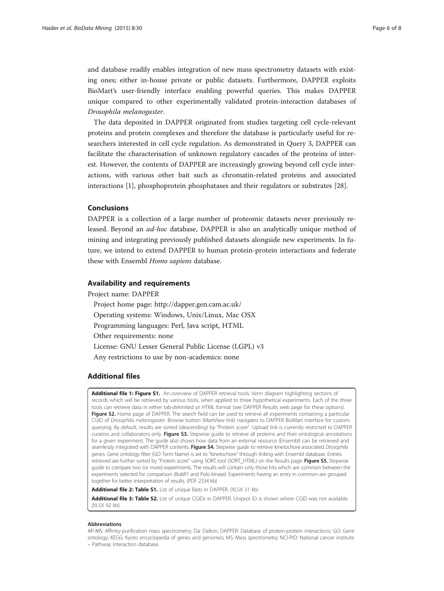<span id="page-5-0"></span>and database readily enables integration of new mass spectrometry datasets with existing ones; either in-house private or public datasets. Furthermore, DAPPER exploits BioMart's user-friendly interface enabling powerful queries. This makes DAPPER unique compared to other experimentally validated protein-interaction databases of Drosophila melanogaster.

The data deposited in DAPPER originated from studies targeting cell cycle-relevant proteins and protein complexes and therefore the database is particularly useful for researchers interested in cell cycle regulation. As demonstrated in Query 3, DAPPER can facilitate the characterisation of unknown regulatory cascades of the proteins of interest. However, the contents of DAPPER are increasingly growing beyond cell cycle interactions, with various other bait such as chromatin-related proteins and associated interactions [[1\]](#page-6-0), phosphoprotein phosphatases and their regulators or substrates [[28\]](#page-7-0).

## Conclusions

DAPPER is a collection of a large number of proteomic datasets never previously released. Beyond an ad-hoc database, DAPPER is also an analytically unique method of mining and integrating previously published datasets alongside new experiments. In future, we intend to extend DAPPER to human protein-protein interactions and federate these with Ensembl Homo sapiens database.

## Availability and requirements

Project name: DAPPER

Project home page:<http://dapper.gen.cam.ac.uk/> Operating systems: Windows, Unix/Linux, Mac OSX Programming languages: Perl, Java script, HTML Other requirements: none License: GNU Lesser General Public License (LGPL) v3 Any restrictions to use by non-academics: none

# Additional files

[Additional file 1: Figure S1.](http://www.biodatamining.org/content/supplementary/s13040-015-0063-3-s1.pdf) An overview of DAPPER retrieval tools. Venn diagram highlighting sections of records which will be retrieved by various tools, when applied to three hypothetical experiments. Each of the three tools can retrieve data in either tab-delimited or HTML format (see DAPPER Results web page for these options). Figure S2. Home page of DAPPER. The search field can be used to retrieve all experiments containing a particular CGID of Drosophila melanogaster. Browse button (MartView link) navigates to DAPPER BioMart interface for custom querying. By default, results are sorted (descending) by "Protein score". Upload link is currently restricted to DAPPER curators and collaborators only. Figure S3. Stepwise guide to retrieve all proteins and their ontological annotations for a given experiment. The guide also shows how data from an external resource (Ensembl) can be retrieved and seamlessly integrated with DAPPER contents. Figure S4. Stepwise guide to retrieve kinetochore associated Drosophila genes. Gene ontology filter (GO Term Name) is set to "kinetochore" through linking with Ensembl database. Entries retrieved are further sorted by "Protein score" using SORT tool (SORT\_HTML) on the Results page. Figure S5. Stepwise guide to compare two (or more) experiments. The results will contain only those hits which are common between the experiments selected for comparison (BubR1 and Polo kinase). Experiments having an entry in common are grouped together for better interpretation of results. (PDF 2334 kb)

[Additional file 2: Table S1.](http://www.biodatamining.org/content/supplementary/s13040-015-0063-3-s2.xlsx) List of unique Baits in DAPPER. (XLSX 31 kb)

[Additional file 3: Table S2.](http://www.biodatamining.org/content/supplementary/s13040-015-0063-3-s3.xlsx) List of unique CGIDs in DAPPER. Uniprot ID is shown where CGID was not available. (XLSX 92 kb)

#### Abbreviations

AP-MS: Affinity-purification mass spectrometry; Da: Dalton; DAPPER: Database of protein-protein interactions; GO: Gene ontology; KEGG: Kyoto encyclopedia of genes and genomes; MS: Mass spectrometry; NCI-PID: National cancer institute – Pathway interaction database.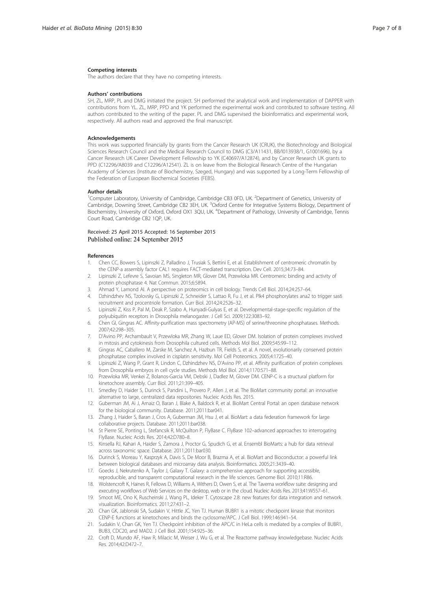#### <span id="page-6-0"></span>Competing interests

The authors declare that they have no competing interests.

#### Authors' contributions

SH, ZL, MRP, PL and DMG initiated the project. SH performed the analytical work and implementation of DAPPER with contributions from YL. ZL, MRP, PPD and YK performed the experimental work and contributed to software testing. All authors contributed to the writing of the paper. PL and DMG supervised the bioinformatics and experimental work, respectively. All authors read and approved the final manuscript.

#### Acknowledgements

This work was supported financially by grants from the Cancer Research UK (CRUK), the Biotechnology and Biological Sciences Research Council and the Medical Research Council to DMG (C3/A11431, BB/I013938/1, G1001696), by a Cancer Research UK Career Development Fellowship to YK (C40697/A12874), and by Cancer Research UK grants to PPD (C12296/A8039 and C12296/A12541). ZL is on leave from the Biological Research Centre of the Hungarian Academy of Sciences (Institute of Biochemistry, Szeged, Hungary) and was supported by a Long-Term Fellowship of the Federation of European Biochemical Societies (FEBS).

#### Author details

<sup>1</sup>Computer Laboratory, University of Cambridge, Cambridge CB3 0FD, UK. <sup>2</sup>Department of Genetics, University of Cambridge, Downing Street, Cambridge CB2 3EH, UK. <sup>3</sup>Oxford Centre for Integrative Systems Biology, Department of Biochemistry, University of Oxford, Oxford OX1 3QU, UK. <sup>4</sup>Department of Pathology, University of Cambridge, Tennis Court Road, Cambridge CB2 1QP, UK.

# Received: 25 April 2015 Accepted: 16 September 2015

#### References

- 1. Chen CC, Bowers S, Lipinszki Z, Palladino J, Trusiak S, Bettini E, et al. Establishment of centromeric chromatin by the CENP-a assembly factor CAL1 requires FACT-mediated transcription. Dev Cell. 2015;34:73–84.
- 2. Lipinszki Z, Lefevre S, Savoian MS, Singleton MR, Glover DM, Przewloka MR. Centromeric binding and activity of protein phosphatase 4. Nat Commun. 2015;6:5894.
- 3. Ahmad Y, Lamond AI. A perspective on proteomics in cell biology. Trends Cell Biol. 2014;24:257–64.
- 4. Dzhindzhev NS, Tzolovsky G, Lipinszki Z, Schneider S, Lattao R, Fu J, et al. Plk4 phosphorylates ana2 to trigger sas6 recruitment and procentriole formation. Curr Biol. 2014;24:2526–32.
- 5. Lipinszki Z, Kiss P, Pal M, Deak P, Szabo A, Hunyadi-Gulyas E, et al. Developmental-stage-specific regulation of the polyubiquitin receptors in Drosophila melanogaster. J Cell Sci. 2009;122:3083–92.
- 6. Chen GI, Gingras AC. Affinity-purification mass spectrometry (AP-MS) of serine/threonine phosphatases. Methods. 2007;42:298–305.
- 7. D'Avino PP, Archambault V, Przewloka MR, Zhang W, Laue ED, Glover DM. Isolation of protein complexes involved in mitosis and cytokinesis from Drosophila cultured cells. Methods Mol Biol. 2009;545:99–112.
- 8. Gingras AC, Caballero M, Zarske M, Sanchez A, Hazbun TR, Fields S, et al. A novel, evolutionarily conserved protein phosphatase complex involved in cisplatin sensitivity. Mol Cell Proteomics. 2005;4:1725–40.
- 9. Lipinszki Z, Wang P, Grant R, Lindon C, Dzhindzhev NS, D'Avino PP, et al. Affinity purification of protein complexes from Drosophila embryos in cell cycle studies. Methods Mol Biol. 2014;1170:571–88.
- 10. Przewloka MR, Venkei Z, Bolanos-Garcia VM, Debski J, Dadlez M, Glover DM. CENP-C is a structural platform for kinetochore assembly. Curr Biol. 2011;21:399–405.
- 11. Smedley D, Haider S, Durinck S, Pandini L, Provero P, Allen J, et al. The BioMart community portal: an innovative alternative to large, centralized data repositories. Nucleic Acids Res. 2015.
- 12. Guberman JM, Ai J, Arnaiz O, Baran J, Blake A, Baldock R, et al. BioMart Central Portal: an open database network for the biological community. Database. 2011;2011:bar041.
- 13. Zhang J, Haider S, Baran J, Cros A, Guberman JM, Hsu J, et al. BioMart: a data federation framework for large collaborative projects. Database. 2011;2011:bar038.
- 14. St Pierre SE, Ponting L, Stefancsik R, McQuilton P, FlyBase C. FlyBase 102–advanced approaches to interrogating FlyBase. Nucleic Acids Res. 2014;42:D780–8.
- 15. Kinsella RJ, Kahari A, Haider S, Zamora J, Proctor G, Spudich G, et al. Ensembl BioMarts: a hub for data retrieval across taxonomic space. Database. 2011;2011:bar030.
- 16. Durinck S, Moreau Y, Kasprzyk A, Davis S, De Moor B, Brazma A, et al. BioMart and Bioconductor: a powerful link between biological databases and microarray data analysis. Bioinformatics. 2005;21:3439–40.
- 17. Goecks J, Nekrutenko A, Taylor J, Galaxy T. Galaxy: a comprehensive approach for supporting accessible, reproducible, and transparent computational research in the life sciences. Genome Biol. 2010;11:R86.
- 18. Wolstencroft K, Haines R, Fellows D, Williams A, Withers D, Owen S, et al. The Taverna workflow suite: designing and executing workflows of Web Services on the desktop, web or in the cloud. Nucleic Acids Res. 2013;41:W557–61.
- 19. Smoot ME, Ono K, Ruscheinski J, Wang PL, Ideker T. Cytoscape 2.8: new features for data integration and network visualization. Bioinformatics. 2011;27:431–2.
- 20. Chan GK, Jablonski SA, Sudakin V, Hittle JC, Yen TJ. Human BUBR1 is a mitotic checkpoint kinase that monitors CENP-E functions at kinetochores and binds the cyclosome/APC. J Cell Biol. 1999;146:941–54.
- 21. Sudakin V, Chan GK, Yen TJ. Checkpoint inhibition of the APC/C in HeLa cells is mediated by a complex of BUBR1, BUB3, CDC20, and MAD2. J Cell Biol. 2001;154:925–36.
- 22. Croft D, Mundo AF, Haw R, Milacic M, Weiser J, Wu G, et al. The Reactome pathway knowledgebase. Nucleic Acids Res. 2014;42:D472–7.